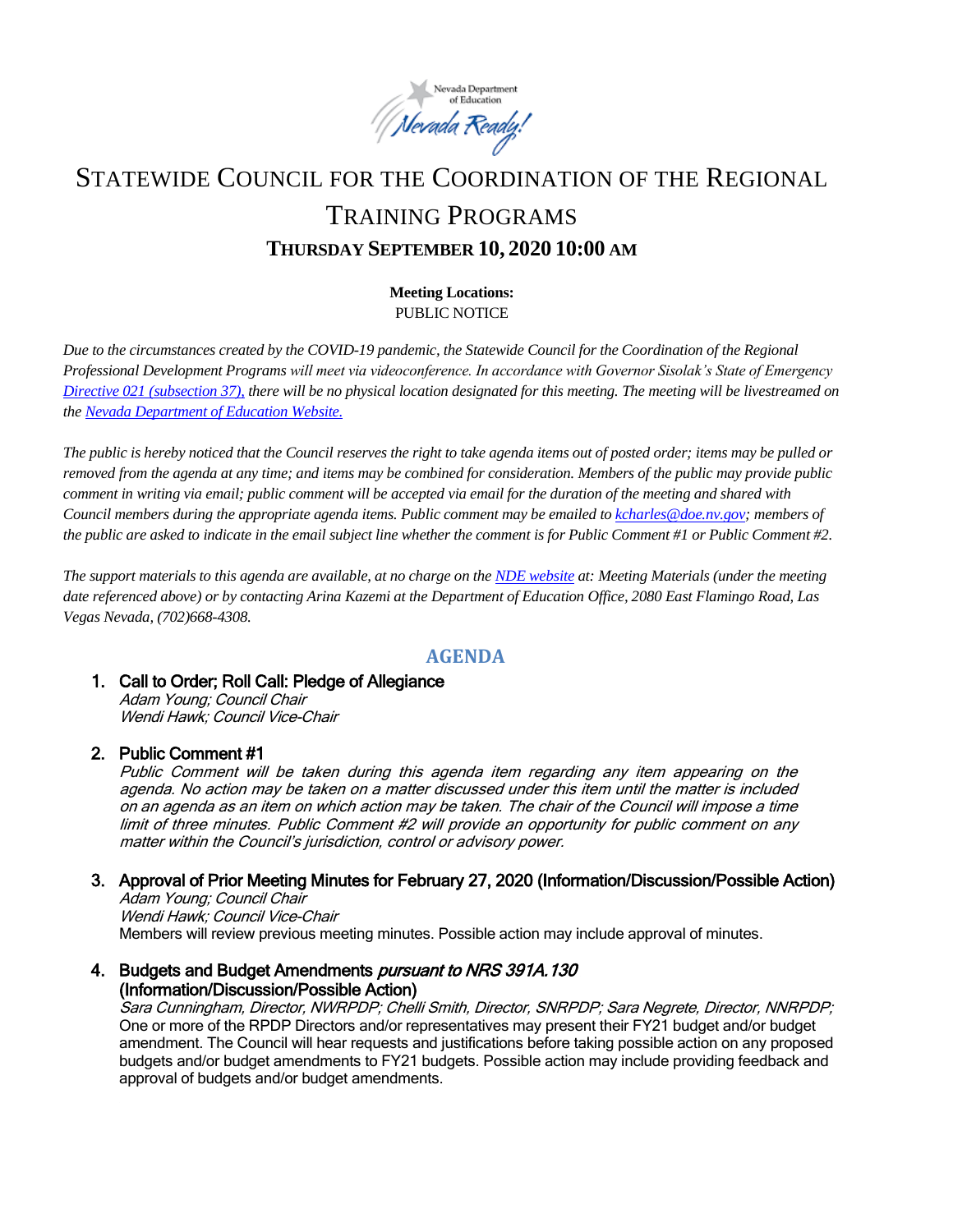

# STATEWIDE COUNCIL FOR THE COORDINATION OF THE REGIONAL TRAINING PROGRAMS **THURSDAY SEPTEMBER 10, 2020 10:00 AM**

## **Meeting Locations:** PUBLIC NOTICE

*Due to the circumstances created by the COVID-19 pandemic, the Statewide Council for the Coordination of the Regional Professional Development Programs will meet via videoconference. In accordance with Governor Sisolak's State of Emergency [Directive 021 \(subsection 37\),](http://gov.nv.gov/News/Emergency_Orders/2020/2020-05-28_-_COVID-19_Declaration_of_Emergency_Directive_021_-_Phase_Two_Reopening_Plan_(Attachments)/) there will be no physical location designated for this meeting. The meeting will be livestreamed on th[e Nevada Department of Education Website.](http://www.doe.nv.gov/Boards_Commissions_Councils/Statewide_Council_Reg_Training/Statewide_Council_for_the_Coordination_of_Regional_Training_Programs/)*

*The public is hereby noticed that the Council reserves the right to take agenda items out of posted order; items may be pulled or removed from the agenda at any time; and items may be combined for consideration. Members of the public may provide public comment in writing via email; public comment will be accepted via email for the duration of the meeting and shared with Council members during the appropriate agenda items. Public comment may be emailed t[o kcharles@doe.nv.gov;](mailto:kcharles@doe.nv.gov)* members of *the public are asked to indicate in the email subject line whether the comment is for Public Comment #1 or Public Comment #2.* 

*The support materials to this agenda are available, at no charge on the [NDE website](http://www.doe.nv.gov/Boards_Commissions_Councils/Statewide_Council_Reg_Training/Statewide_Council_for_the_Coordination_of_Regional_Training_Programs/) at: Meeting Materials (under the meeting date referenced above) or by contacting Arina Kazemi at the Department of Education Office, 2080 East Flamingo Road, Las Vegas Nevada, (702)668-4308.* 

# **AGENDA**

### 1. Call to Order; Roll Call: Pledge of Allegiance

Adam Young; Council Chair Wendi Hawk; Council Vice-Chair

# 2. Public Comment #1

Public Comment will be taken during this agenda item regarding any item appearing on the agenda. No action may be taken on a matter discussed under this item until the matter is included on an agenda as an item on which action may be taken. The chair of the Council will impose a time limit of three minutes. Public Comment #2 will provide an opportunity for public comment on any matter within the Council's jurisdiction, control or advisory power.

# 3. Approval of Prior Meeting Minutes for February 27, 2020 (Information/Discussion/Possible Action)

Adam Young; Council Chair Wendi Hawk; Council Vice-Chair Members will review previous meeting minutes. Possible action may include approval of minutes.

### 4. Budgets and Budget Amendments *pursuant to NRS 391A.130* (Information/Discussion/Possible Action)

Sara Cunningham, Director, NWRPDP; Chelli Smith, Director, SNRPDP; Sara Negrete, Director, NNRPDP; One or more of the RPDP Directors and/or representatives may present their FY21 budget and/or budget amendment. The Council will hear requests and justifications before taking possible action on any proposed budgets and/or budget amendments to FY21 budgets. Possible action may include providing feedback and approval of budgets and/or budget amendments.